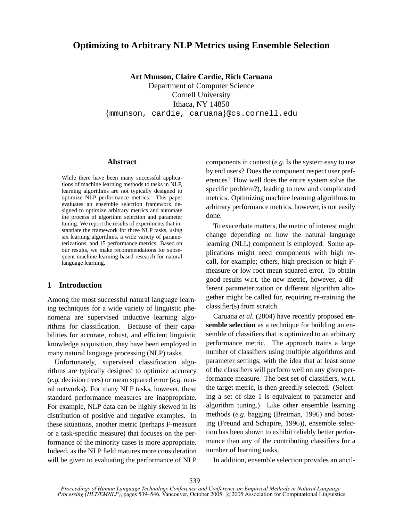# **Optimizing to Arbitrary NLP Metrics using Ensemble Selection**

**Art Munson, Claire Cardie, Rich Caruana**

Department of Computer Science Cornell University Ithaca, NY 14850 {mmunson, cardie, caruana}@cs.cornell.edu

### **Abstract**

While there have been many successful applications of machine learning methods to tasks in NLP, learning algorithms are not typically designed to optimize NLP performance metrics. This paper evaluates an ensemble selection framework designed to optimize arbitrary metrics and automate the process of algorithm selection and parameter tuning. We report the results of experiments that instantiate the framework for three NLP tasks, using six learning algorithms, a wide variety of parameterizations, and 15 performance metrics. Based on our results, we make recommendations for subsequent machine-learning-based research for natural language learning.

# **1 Introduction**

Among the most successful natural language learning techniques for a wide variety of linguistic phenomena are supervised inductive learning algorithms for classification. Because of their capabilities for accurate, robust, and efficient linguistic knowledge acquisition, they have been employed in many natural language processing (NLP) tasks.

Unfortunately, supervised classification algorithms are typically designed to optimize accuracy (*e.g.* decision trees) or mean squared error (*e.g.* neural networks). For many NLP tasks, however, these standard performance measures are inappropriate. For example, NLP data can be highly skewed in its distribution of positive and negative examples. In these situations, another metric (perhaps F-measure or a task-specific measure) that focuses on the performance of the minority cases is more appropriate. Indeed, as the NLP field matures more consideration will be given to evaluating the performance of NLP components in context (*e.g.* Is the system easy to use by end users? Does the component respect user preferences? How well does the entire system solve the specific problem?), leading to new and complicated metrics. Optimizing machine learning algorithms to arbitrary performance metrics, however, is not easily done.

To exacerbate matters, the metric of interest might change depending on how the natural language learning (NLL) component is employed. Some applications might need components with high recall, for example; others, high precision or high Fmeasure or low root mean squared error. To obtain good results w.r.t. the new metric, however, a different parameterization or different algorithm altogether might be called for, requiring re-training the classifier(s) from scratch.

Caruana *et al.* (2004) have recently proposed **ensemble selection** as a technique for building an ensemble of classifiers that is optimized to an arbitrary performance metric. The approach trains a large number of classifiers using multiple algorithms and parameter settings, with the idea that at least some of the classifiers will perform well on any given performance measure. The best set of classifiers, w.r.t. the target metric, is then greedily selected. (Selecting a set of size 1 is equivalent to parameter and algorithm tuning.) Like other ensemble learning methods (*e.g.* bagging (Breiman, 1996) and boosting (Freund and Schapire, 1996)), ensemble selection has been shown to exhibit reliably better performance than any of the contributing classifiers for a number of learning tasks.

In addition, ensemble selection provides an ancil-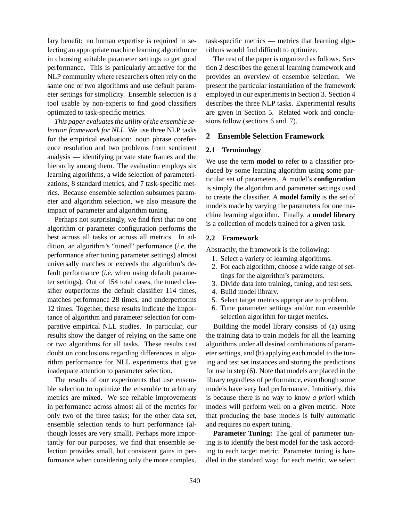lary benefit: no human expertise is required in selecting an appropriate machine learning algorithm or in choosing suitable parameter settings to get good performance. This is particularly attractive for the NLP community where researchers often rely on the same one or two algorithms and use default parameter settings for simplicity. Ensemble selection is a tool usable by non-experts to find good classifiers optimized to task-specific metrics.

*This paper evaluates the utility of the ensemble selection framework for NLL.* We use three NLP tasks for the empirical evaluation: noun phrase coreference resolution and two problems from sentiment analysis — identifying private state frames and the hierarchy among them. The evaluation employs six learning algorithms, a wide selection of parameterizations, 8 standard metrics, and 7 task-specific metrics. Because ensemble selection subsumes parameter and algorithm selection, we also measure the impact of parameter and algorithm tuning.

Perhaps not surprisingly, we find first that no one algorithm or parameter configuration performs the best across all tasks or across all metrics. In addition, an algorithm's "tuned" performance (*i.e.* the performance after tuning parameter settings) almost universally matches or exceeds the algorithm's default performance (*i.e.* when using default parameter settings). Out of 154 total cases, the tuned classifier outperforms the default classifier 114 times, matches performance 28 times, and underperforms 12 times. Together, these results indicate the importance of algorithm and parameter selection for comparative empirical NLL studies. In particular, our results show the danger of relying on the same one or two algorithms for all tasks. These results cast doubt on conclusions regarding differences in algorithm performance for NLL experiments that give inadequate attention to parameter selection.

The results of our experiments that use ensemble selection to optimize the ensemble to arbitrary metrics are mixed. We see reliable improvements in performance across almost all of the metrics for only two of the three tasks; for the other data set, ensemble selection tends to hurt performance (although losses are very small). Perhaps more importantly for our purposes, we find that ensemble selection provides small, but consistent gains in performance when considering only the more complex, task-specific metrics — metrics that learning algorithms would find difficult to optimize.

The rest of the paper is organized as follows. Section 2 describes the general learning framework and provides an overview of ensemble selection. We present the particular instantiation of the framework employed in our experiments in Section 3. Section 4 describes the three NLP tasks. Experimental results are given in Section 5. Related work and conclusions follow (sections 6 and 7).

### **2 Ensemble Selection Framework**

#### **2.1 Terminology**

We use the term **model** to refer to a classifier produced by some learning algorithm using some particular set of parameters. A model's **configuration** is simply the algorithm and parameter settings used to create the classifier. A **model family** is the set of models made by varying the parameters for one machine learning algorithm. Finally, a **model library** is a collection of models trained for a given task.

## **2.2 Framework**

Abstractly, the framework is the following:

- 1. Select a variety of learning algorithms.
- 2. For each algorithm, choose a wide range of settings for the algorithm's parameters.
- 3. Divide data into training, tuning, and test sets.
- 4. Build model library.
- 5. Select target metrics appropriate to problem.
- 6. Tune parameter settings and/or run ensemble selection algorithm for target metrics.

Building the model library consists of (a) using the training data to train models for all the learning algorithms under all desired combinations of parameter settings, and (b) applying each model to the tuning and test set instances and storing the predictions for use in step (6). Note that models are placed in the library regardless of performance, even though some models have very bad performance. Intuitively, this is because there is no way to know *a priori* which models will perform well on a given metric. Note that producing the base models is fully automatic and requires no expert tuning.

**Parameter Tuning:** The goal of parameter tuning is to identify the best model for the task according to each target metric. Parameter tuning is handled in the standard way: for each metric, we select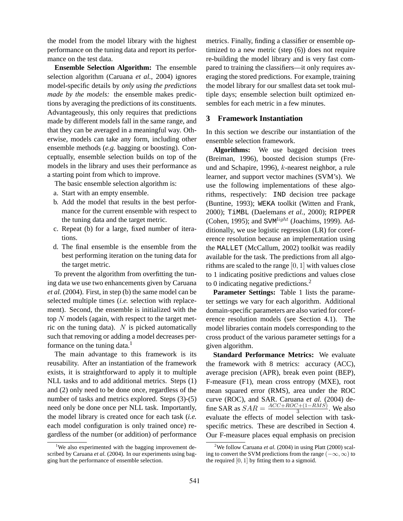the model from the model library with the highest performance on the tuning data and report its performance on the test data.

**Ensemble Selection Algorithm:** The ensemble selection algorithm (Caruana *et al.*, 2004) ignores model-specific details by *only using the predictions made by the models:* the ensemble makes predictions by averaging the predictions of its constituents. Advantageously, this only requires that predictions made by different models fall in the same range, and that they can be averaged in a meaningful way. Otherwise, models can take any form, including other ensemble methods (*e.g.* bagging or boosting). Conceptually, ensemble selection builds on top of the models in the library and uses their performance as a starting point from which to improve.

The basic ensemble selection algorithm is:

- a. Start with an empty ensemble.
- b. Add the model that results in the best performance for the current ensemble with respect to the tuning data and the target metric.
- c. Repeat (b) for a large, fixed number of iterations.
- d. The final ensemble is the ensemble from the best performing iteration on the tuning data for the target metric.

To prevent the algorithm from overfitting the tuning data we use two enhancements given by Caruana *et al.* (2004). First, in step (b) the same model can be selected multiple times (*i.e.* selection with replacement). Second, the ensemble is initialized with the top  $N$  models (again, with respect to the target metric on the tuning data).  $N$  is picked automatically such that removing or adding a model decreases performance on the tuning data.<sup>1</sup>

The main advantage to this framework is its reusability. After an instantiation of the framework exists, it is straightforward to apply it to multiple NLL tasks and to add additional metrics. Steps (1) and (2) only need to be done once, regardless of the number of tasks and metrics explored. Steps (3)-(5) need only be done once per NLL task. Importantly, the model library is created once for each task (*i.e.* each model configuration is only trained once) regardless of the number (or addition) of performance metrics. Finally, finding a classifier or ensemble optimized to a new metric (step (6)) does not require re-building the model library and is very fast compared to training the classifiers—it only requires averaging the stored predictions. For example, training the model library for our smallest data set took multiple days; ensemble selection built optimized ensembles for each metric in a few minutes.

### **3 Framework Instantiation**

In this section we describe our instantiation of the ensemble selection framework.

**Algorithms:** We use bagged decision trees (Breiman, 1996), boosted decision stumps (Freund and Schapire, 1996), k-nearest neighbor, a rule learner, and support vector machines (SVM's). We use the following implementations of these algorithms, respectively: IND decision tree package (Buntine, 1993); WEKA toolkit (Witten and Frank, 2000); TiMBL (Daelemans *et al.*, 2000); RIPPER (Cohen, 1995); and  $SWM<sup>light</sup>$  (Joachims, 1999). Additionally, we use logistic regression (LR) for coreference resolution because an implementation using the MALLET (McCallum, 2002) toolkit was readily available for the task. The predictions from all algorithms are scaled to the range  $[0, 1]$  with values close to 1 indicating positive predictions and values close to 0 indicating negative predictions.<sup>2</sup>

**Parameter Settings:** Table 1 lists the parameter settings we vary for each algorithm. Additional domain-specific parameters are also varied for coreference resolution models (see Section 4.1). The model libraries contain models corresponding to the cross product of the various parameter settings for a given algorithm.

**Standard Performance Metrics:** We evaluate the framework with 8 metrics: accuracy (ACC), average precision (APR), break even point (BEP), F-measure (F1), mean cross entropy (MXE), root mean squared error (RMS), area under the ROC curve (ROC), and SAR. Caruana *et al.* (2004) define SAR as  $SAR = \frac{ACC + ROC + (1 - RMS)}{3}$ . We also  $\overline{3}$ evaluate the effects of model selection with taskspecific metrics. These are described in Section 4. Our F-measure places equal emphasis on precision

<sup>&</sup>lt;sup>1</sup>We also experimented with the bagging improvement described by Caruana et al. (2004). In our experiments using bagging hurt the performance of ensemble selection.

<sup>&</sup>lt;sup>2</sup>We follow Caruana *et al.* (2004) in using Platt (2000) scaling to convert the SVM predictions from the range  $(-\infty,\infty)$  to the required  $[0, 1]$  by fitting them to a sigmoid.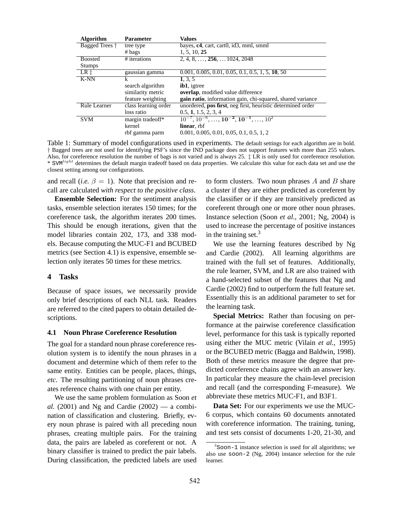| <b>Algorithm</b>    | <b>Parameter</b>     | <b>Values</b>                                                |
|---------------------|----------------------|--------------------------------------------------------------|
| Bagged Trees †      | tree type            | bayes, c4, cart, cart0, id3, mml, smml                       |
|                     | $# \text{ bags}$     | 1, 5, 10, 25                                                 |
| <b>Boosted</b>      | # iterations         | $2, 4, 8, \ldots, 256, \ldots$ 1024, 2048                    |
| <b>Stumps</b>       |                      |                                                              |
| LR ‡                | gaussian gamma       | $0.001, 0.005, 0.01, 0.05, 0.1, 0.5, 1, 5, 10, 50$           |
| $K-NN$              | k                    | 1, 3, 5                                                      |
|                     | search algorithm     | <b>ib1</b> , igtree                                          |
|                     | similarity metric    | <b>overlap</b> , modified value difference                   |
|                     | feature weighting    | gain ratio, information gain, chi-squared, shared variance   |
| <b>Rule Learner</b> | class learning order | unordered, pos first, neg first, heuristic determined order  |
|                     | loss ratio           | 0.5, 1, 1.5, 2, 3, 4                                         |
| <b>SVM</b>          | margin tradeoff*     | $10^{-7}, 10^{-6}, \ldots, 10^{-2}, 10^{-1}, \ldots, 10^{2}$ |
|                     | kernel               | linear. rbf                                                  |
|                     | rbf gamma parm       | $0.001, 0.005, 0.01, 0.05, 0.1, 0.5, 1, 2$                   |

Table 1: Summary of model configurations used in experiments. The default settings for each algorithm are in bold. † Bagged trees are not used for identifying PSF's since the IND package does not support features with more than 255 values. Also, for coreference resolution the number of bags is not varied and is always 25. ‡ LR is only used for coreference resolution. \* SVM<sup>light</sup> determines the default margin tradeoff based on data properties. We calculate this value for each data set and use the closest setting among our configurations.

and recall (*i.e.*  $\beta = 1$ ). Note that precision and recall are calculated *with respect to the positive class*.

**Ensemble Selection:** For the sentiment analysis tasks, ensemble selection iterates 150 times; for the coreference task, the algorithm iterates 200 times. This should be enough iterations, given that the model libraries contain 202, 173, and 338 models. Because computing the MUC-F1 and BCUBED metrics (see Section 4.1) is expensive, ensemble selection only iterates 50 times for these metrics.

#### **4 Tasks**

Because of space issues, we necessarily provide only brief descriptions of each NLL task. Readers are referred to the cited papers to obtain detailed descriptions.

### **4.1 Noun Phrase Coreference Resolution**

The goal for a standard noun phrase coreference resolution system is to identify the noun phrases in a document and determine which of them refer to the same entity. Entities can be people, places, things, *etc*. The resulting partitioning of noun phrases creates reference chains with one chain per entity.

We use the same problem formulation as Soon *et al.* (2001) and Ng and Cardie (2002) — a combination of classification and clustering. Briefly, every noun phrase is paired with all preceding noun phrases, creating multiple pairs. For the training data, the pairs are labeled as coreferent or not. A binary classifier is trained to predict the pair labels. During classification, the predicted labels are used

to form clusters. Two noun phrases  $A$  and  $B$  share a cluster if they are either predicted as coreferent by the classifier or if they are transitively predicted as coreferent through one or more other noun phrases. Instance selection (Soon *et al.*, 2001; Ng, 2004) is used to increase the percentage of positive instances in the training set.<sup>3</sup>

We use the learning features described by Ng and Cardie (2002). All learning algorithms are trained with the full set of features. Additionally, the rule learner, SVM, and LR are also trained with a hand-selected subset of the features that Ng and Cardie (2002) find to outperform the full feature set. Essentially this is an additional parameter to set for the learning task.

**Special Metrics:** Rather than focusing on performance at the pairwise coreference classification level, performance for this task is typically reported using either the MUC metric (Vilain *et al.*, 1995) or the BCUBED metric (Bagga and Baldwin, 1998). Both of these metrics measure the degree that predicted coreference chains agree with an answer key. In particular they measure the chain-level precision and recall (and the corresponding F-measure). We abbreviate these metrics MUC-F1, and B3F1.

**Data Set:** For our experiments we use the MUC-6 corpus, which contains 60 documents annotated with coreference information. The training, tuning, and test sets consist of documents 1-20, 21-30, and

 $3$ Soon-1 instance selection is used for all algorithms; we also use soon-2 (Ng, 2004) instance selection for the rule learner.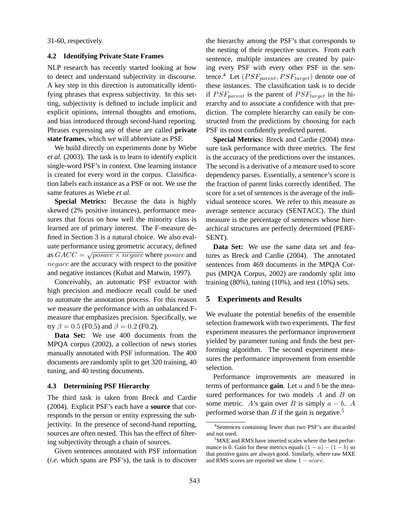31-60, respectively.

### **4.2 Identifying Private State Frames**

NLP research has recently started looking at how to detect and understand subjectivity in discourse. A key step in this direction is automatically identifying phrases that express subjectivity. In this setting, subjectivity is defined to include implicit and explicit opinions, internal thoughts and emotions, and bias introduced through second-hand reporting. Phrases expressing any of these are called **private state frames**, which we will abbreviate as PSF.

We build directly on experiments done by Wiebe *et al.* (2003). The task is to learn to identify explicit single-word PSF's in context. One learning instance is created for every word in the corpus. Classification labels each instance as a PSF or not. We use the same features as Wiebe *et al.*

**Special Metrics:** Because the data is highly skewed (2% positive instances), performance measures that focus on how well the minority class is learned are of primary interest. The F-measure defined in Section 3 is a natural choice. We also evaluate performance using geometric accuracy, defined as  $GACC = \sqrt{posacc \times negacc}$  where  $posacc$  and negacc are the accuracy with respect to the positive and negative instances (Kubat and Matwin, 1997).

Conceivably, an automatic PSF extractor with high precision and mediocre recall could be used to automate the annotation process. For this reason we measure the performance with an unbalanced Fmeasure that emphasizes precision. Specifically, we try  $\beta = 0.5$  (F0.5) and  $\beta = 0.2$  (F0.2).

**Data Set:** We use 400 documents from the MPQA corpus (2002), a collection of news stories manually annotated with PSF information. The 400 documents are randomly split to get 320 training, 40 tuning, and 40 testing documents.

#### **4.3 Determining PSF Hierarchy**

The third task is taken from Breck and Cardie (2004). Explicit PSF's each have a **source** that corresponds to the person or entity expressing the subjectivity. In the presence of second-hand reporting, sources are often nested. This has the effect of filtering subjectivity through a chain of sources.

Given sentences annotated with PSF information (*i.e.* which spans are PSF's), the task is to discover the hierarchy among the PSF's that corresponds to the nesting of their respective sources. From each sentence, multiple instances are created by pairing every PSF with every other PSF in the sentence.<sup>4</sup> Let  $(PSF_{parent}, PSF_{target})$  denote one of these instances. The classification task is to decide if  $PSF_{parent}$  is the parent of  $PSF_{target}$  in the hierarchy and to associate a confidence with that prediction. The complete hierarchy can easily be constructed from the predictions by choosing for each PSF its most confidently predicted parent.

**Special Metrics:** Breck and Cardie (2004) measure task performance with three metrics. The first is the accuracy of the predictions over the instances. The second is a derivative of a measure used to score dependency parses. Essentially, a sentence's score is the fraction of parent links correctly identified. The score for a set of sentences is the average of the individual sentence scores. We refer to this measure as average sentence accuracy (SENTACC). The third measure is the percentage of sentences whose hierarchical structures are perfectly determined (PERF-SENT).

**Data Set:** We use the same data set and features as Breck and Cardie (2004). The annotated sentences from 469 documents in the MPQA Corpus (MPQA Corpus, 2002) are randomly split into training  $(80\%)$ , tuning  $(10\%)$ , and test  $(10\%)$  sets.

### **5 Experiments and Results**

We evaluate the potential benefits of the ensemble selection framework with two experiments. The first experiment measures the performance improvement yielded by parameter tuning and finds the best performing algorithm. The second experiment measures the performance improvement from ensemble selection.

Performance improvements are measured in terms of performance **gain**. Let  $a$  and  $b$  be the measured performances for two models A and B on some metric. A's gain over B is simply  $a - b$ . A performed worse than  $B$  if the gain is negative.<sup>5</sup>

<sup>4</sup> Sentences containing fewer than two PSF's are discarded and not used.

<sup>5</sup>MXE and RMS have inverted scales where the best performance is 0. Gain for these metrics equals  $(1 - a) - (1 - b)$  so that positive gains are always good. Similarly, where raw MXE and RMS scores are reported we show  $1 - score$ .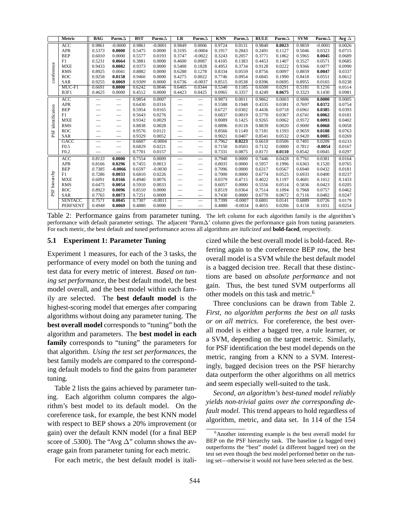|                         | Metric           | <b>BAG</b> | Parm $\Delta$                         | <b>BST</b> | Parm $\Delta$ | $_{LR}$ | Parm $\Delta$            | <b>KNN</b> | Parm $\Delta$ | <b>RULE</b> | Parm $\Delta$ | SVM    | Parm $\Delta$ | Avg $\Delta$ |
|-------------------------|------------------|------------|---------------------------------------|------------|---------------|---------|--------------------------|------------|---------------|-------------|---------------|--------|---------------|--------------|
| coreference             | ACC              | 0.9861     | $-0.0000$                             | 0.9861     | $-0.0001$     | 0.9849  | 0.0006                   | 0.9724     | 0.0131        | 0.9840      | 0.0023        | 0.9859 | $-0.0001$     | 0.0026       |
|                         | APR              | 0.5373     | 0.0000                                | 0.5475     | 0.0000        | 0.3195  | $-0.0004$                | 0.1917     | 0.2843        | 0.2491      | 0.1127        | 0.5046 | 0.0323        | 0.0715       |
|                         | <b>BEP</b>       | 0.6010     | 0.0000                                | 0.5577     | 0.0193        | 0.3747  | $-0.0022$                | 0.3243     | 0.2057        | 0.3771      | 0.1862        | 0.5965 | 0.0045        | 0.0689       |
|                         | F1               | 0.5231     | 0.0664                                | 0.3881     | 0.0000        | 0.4600  | 0.0087                   | 0.4105     | 0.1383        | 0.4453      | 0.1407        | 0.3527 | 0.0571        | 0.0685       |
|                         | <b>MXE</b>       | 0.9433     | 0.0082                                | 0.9373     | 0.0000        | 0.5400  | 0.1828                   | 0.4953     | 0.3734        | 0.9128      | 0.0222        | 0.9366 | 0.0077        | 0.0990       |
|                         | <b>RMS</b>       | 0.8925     | 0.0041                                | 0.8882     | 0.0000        | 0.6288  | 0.1278                   | 0.8334     | 0.0559        | 0.8756      | 0.0097        | 0.8859 | 0.0047        | 0.0337       |
|                         | <b>ROC</b>       | 0.9258     | 0.0158                                | 0.9466     | 0.0000        | 0.4275  | 0.0022                   | 0.7746     | 0.0954        | 0.6845      | 0.1990        | 0.8418 | 0.0551        | 0.0612       |
|                         | <b>SAR</b>       | 0.9255     | 0.0069                                | 0.9309     | 0.0000        | 0.6736  | $-0.0037$                | 0.8515     | 0.0538        | 0.8396      | 0.0695        | 0.8955 | 0.0165        | 0.0238       |
|                         | $MUC-F1$         | 0.6691     | 0.0000                                | 0.6242     | 0.0046        | 0.6405  | 0.0344                   | 0.5340     | 0.1185        | 0.6500      | 0.0291        | 0.5181 | 0.1216        | 0.0514       |
|                         | B3F1             | 0.4625     | 0.0000                                | 0.4512     | 0.0000        | 0.4423  | 0.0425                   | 0.0965     | 0.3357        | 0.4249      | 0.0675        | 0.3323 | 0.1430        | 0.0981       |
| identification<br>FSF   | $\overline{ACC}$ | -          | $\overline{\phantom{0}}$              | 0.9854     | 0.0007        |         | $\overline{\phantom{0}}$ | 0.9873     | 0.0011        | 0.9862      | 0.0003        | 0.9886 | 0.0000        | 0.0005       |
|                         | <b>APR</b>       | -          |                                       | 0.6430     | 0.0316        |         |                          | 0.5588     | 0.1948        | 0.4335      | 0.0381        | 0.7697 | 0.0372        | 0.0754       |
|                         | <b>BEP</b>       |            |                                       | 0.5954     | 0.0165        | -       |                          | 0.6727     | 0.0302        | 0.4436      | 0.0718        | 0.6961 | 0.0385        | 0.0393       |
|                         | F1               |            |                                       | 0.5643     | 0.0276        | -       |                          | 0.6837     | 0.0019        | 0.5770      | 0.0367        | 0.6741 | 0.0062        | 0.0181       |
|                         | <b>MXE</b>       |            |                                       | 0.9342     | 0.0029        |         |                          | 0.8089     | 0.1425        | 0.9265      | 0.0062        | 0.9572 | 0.0093        | 0.0402       |
|                         | <b>RMS</b>       |            | $\hspace{1.0cm} \rule{1.5cm}{0.15cm}$ | 0.8838     | 0.0028        |         |                          | 0.8896     | 0.0118        | 0.8839      | 0.0020        | 0.9000 | 0.0068        | 0.0058       |
|                         | <b>ROC</b>       |            |                                       | 0.9576     | 0.0121        | -       | -                        | 0.8566     | 0.1149        | 0.7181      | 0.1593        | 0.9659 | 0.0188        | 0.0763       |
|                         | SAR              |            |                                       | 0.9329     | 0.0052        |         |                          | 0.9021     | 0.0407        | 0.8541      | 0.0532        | 0.9420 | 0.0085        | 0.0269       |
|                         | <b>GACC</b>      |            |                                       | 0.6607     | $-0.0004$     |         | $\overline{\phantom{0}}$ | 0.7962     | 0.0223        | 0.6610      | 0.0506        | 0.7401 | 0.0209        | 0.0233       |
|                         | F0.5             |            | -                                     | 0.6829     | 0.0221        | -       |                          | 0.7150     | 0.0503        | 0.7132      | 0.0000        | 0.7811 | $-0.0054$     | 0.0167       |
|                         | F <sub>0.2</sub> |            |                                       | 0.7701     | 0.0157        | -       | -                        | 0.7331     | 0.0875        | 0.8171      | 0.0110        | 0.8542 | 0.0045        | 0.0297       |
| hierarchy<br><b>FSE</b> | ACC              | 0.8133     | 0.0000                                | 0.7554     | 0.0009        |         | $\overline{\phantom{0}}$ | 0.7940     | 0.0000        | 0.7446      | 0.0428        | 0.7761 | 0.0381        | 0.0164       |
|                         | <b>APR</b>       | 0.8166     | 0.0296                                | 0.7455     | 0.0013        |         |                          | 0.8035     | 0.0000        | 0.5957      | 0.1996        | 0.6363 | 0.1520        | 0.0765       |
|                         | <b>BEP</b>       | 0.7385     | $-0.0066$                             | 0.6597     | $-0.0030$     |         |                          | 0.7096     | 0.0000        | 0.6317      | 0.0567        | 0.6940 | 0.0432        | 0.0181       |
|                         | F1               | 0.7286     | 0.0033                                | 0.6810     | 0.0226        |         |                          | 0.7000     | 0.0000        | 0.6774      | 0.0525        | 0.6933 | 0.0400        | 0.0237       |
|                         | <b>MXE</b>       | 0.6091     | 0.0166                                | 0.4940     | 0.0076        |         |                          | 0.0379     | 0.4715        | 0.4022      | 0.1197        | 0.4681 | 0.1012        | 0.1433       |
|                         | <b>RMS</b>       | 0.6475     | 0.0054                                | 0.5910     | 0.0033        | -       |                          | 0.6057     | 0.0000        | 0.5556      | 0.0514        | 0.5836 | 0.0423        | 0.0205       |
|                         | <b>ROC</b>       | 0.8923     | 0.0096                                | 0.8510     | 0.0000        | -       |                          | 0.8519     | 0.0364        | 0.7514      | 0.1094        | 0.7968 | 0.0757        | 0.0462       |
|                         | <b>SAR</b>       | 0.7765     | 0.0073                                | 0.7251     | 0.0009        |         |                          | 0.7430     | 0.0000        | 0.6770      | 0.0672        | 0.7116 | 0.0482        | 0.0247       |
|                         | <b>SENTACC</b>   | 0.7571     | 0.0045                                | 0.7307     | $-0.0011$     |         |                          | 0.7399     | $-0.0007$     | 0.6801      | 0.0141        | 0.6889 | 0.0726        | 0.0179       |
|                         | <b>PERFSENT</b>  | 0.4948     | 0.0069                                | 0.4880     | 0.0000        |         |                          | 0.4880     | $-0.0034$     | 0.4055      | 0.0206        | 0.4158 | 0.1031        | 0.0254       |

Table 2: Performance gains from parameter tuning. The left column for each algorithm family is the algorithm's performance with default parameter settings. The adjacent 'Parm∆' column gives the performance gain from tuning parameters. For each metric, the best default and tuned performance across all algorithms are *italicized* and **bold-faced**, respectively.

### **5.1 Experiment 1: Parameter Tuning**

Experiment 1 measures, for each of the 3 tasks, the performance of every model on both the tuning and test data for every metric of interest. *Based on tuning set performance,* the best default model, the best model overall, and the best model within each family are selected. The **best default model** is the highest-scoring model that emerges after comparing algorithms without doing any parameter tuning. The **best overall model** corresponds to "tuning" both the algorithm and parameters. The **best model in each family** corresponds to "tuning" the parameters for that algorithm. *Using the test set performances,* the best family models are compared to the corresponding default models to find the gains from parameter tuning.

Table 2 lists the gains achieved by parameter tuning. Each algorithm column compares the algorithm's best model to its default model. On the coreference task, for example, the best KNN model with respect to BEP shows a 20% improvement (or gain) over the default KNN model (for a final BEP score of .5300). The "Avg  $\Delta$ " column shows the average gain from parameter tuning for each metric.

For each metric, the best default model is itali-

cized while the best overall model is bold-faced. Referring again to the coreference BEP row, the best overall model is a SVM while the best default model is a bagged decision tree. Recall that these distinctions are based on *absolute performance* and not gain. Thus, the best tuned SVM outperforms all other models on this task and metric.<sup>6</sup>

Three conclusions can be drawn from Table 2. *First, no algorithm performs the best on all tasks or on all metrics.* For coreference, the best overall model is either a bagged tree, a rule learner, or a SVM, depending on the target metric. Similarly, for PSF identification the best model depends on the metric, ranging from a KNN to a SVM. Interestingly, bagged decision trees on the PSF hierarchy data outperform the other algorithms on all metrics and seem especially well-suited to the task.

*Second, an algorithm's best-tuned model reliably yields non-trivial gains over the corresponding default model.* This trend appears to hold regardless of algorithm, metric, and data set. In 114 of the 154

<sup>&</sup>lt;sup>6</sup>Another interesting example is the best overall model for BEP on the PSF hierarchy task. The baseline (a bagged tree) outperforms the "best" model (a different bagged tree) on the test set even though the best model performed better on the tuning set—otherwise it would not have been selected as the best.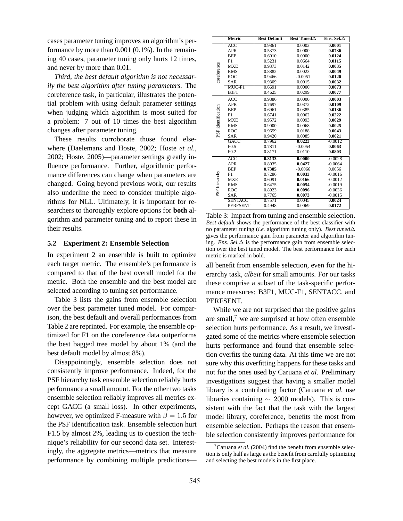cases parameter tuning improves an algorithm's performance by more than 0.001 (0.1%). In the remaining 40 cases, parameter tuning only hurts 12 times, and never by more than 0.01.

*Third, the best default algorithm is not necessarily the best algorithm after tuning parameters.* The coreference task, in particular, illustrates the potential problem with using default parameter settings when judging which algorithm is most suited for a problem: 7 out of 10 times the best algorithm changes after parameter tuning.

These results corroborate those found elsewhere (Daelemans and Hoste, 2002; Hoste *et al.*, 2002; Hoste, 2005)—parameter settings greatly influence performance. Further, algorithmic performance differences can change when parameters are changed. Going beyond previous work, our results also underline the need to consider multiple algorithms for NLL. Ultimately, it is important for researchers to thoroughly explore options for **both** algorithm and parameter tuning and to report these in their results.

### **5.2 Experiment 2: Ensemble Selection**

In experiment 2 an ensemble is built to optimize each target metric. The ensemble's performance is compared to that of the best overall model for the metric. Both the ensemble and the best model are selected according to tuning set performance.

Table 3 lists the gains from ensemble selection over the best parameter tuned model. For comparison, the best default and overall performances from Table 2 are reprinted. For example, the ensemble optimized for F1 on the coreference data outperforms the best bagged tree model by about 1% (and the best default model by almost 8%).

Disappointingly, ensemble selection does not consistently improve performance. Indeed, for the PSF hierarchy task ensemble selection reliably hurts performance a small amount. For the other two tasks ensemble selection reliably improves all metrics except GACC (a small loss). In other experiments, however, we optimized F-measure with  $\beta = 1.5$  for the PSF identification task. Ensemble selection hurt F1.5 by almost 2%, leading us to question the technique's reliability for our second data set. Interestingly, the aggregate metrics—metrics that measure performance by combining multiple predictions—

|                    | Metric           | <b>Best Default</b> | <b>Best Tuned</b> $\Delta$ | Ens. Sel. $\Delta$ |
|--------------------|------------------|---------------------|----------------------------|--------------------|
|                    | $\overline{ACC}$ | 0.9861              | 0.0002                     | 0.0001             |
|                    | <b>APR</b>       | 0.5373              | 0.0000                     | 0.0736             |
|                    | <b>BEP</b>       | 0.6010              | 0.0000                     | 0.0124             |
|                    | F1               | 0.5231              | 0.0664                     | 0.0115             |
|                    | <b>MXE</b>       | 0.9373              | 0.0142                     | 0.0035             |
| coreference        | <b>RMS</b>       | 0.8882              | 0.0023                     | 0.0049             |
|                    | <b>ROC</b>       | 0.9466              | $-0.0051$                  | 0.0120             |
|                    | <b>SAR</b>       | 0.9309              | 0.0015                     | 0.0032             |
|                    | $MUC$ - $F1$     | 0.6691              | 0.0000                     | 0.0073             |
|                    | B3F1             | 0.4625              | 0.0299                     | 0.0077             |
|                    | ACC              | 0.9886              | 0.0000                     | 0.0003             |
|                    | <b>APR</b>       | 0.7697              | 0.0372                     | 0.0109             |
| PSF identification | <b>BEP</b>       | 0.6961              | 0.0385                     | 0.0136             |
|                    | F1               | 0.6741              | 0.0062                     | 0.0222             |
|                    | <b>MXE</b>       | 0.9572              | 0.0093                     | 0.0029             |
|                    | <b>RMS</b>       | 0.9000              | 0.0068                     | 0.0025             |
|                    | <b>ROC</b>       | 0.9659              | 0.0188                     | 0.0043             |
|                    | <b>SAR</b>       | 0.9420              | 0.0085                     | 0.0021             |
|                    | <b>GACC</b>      | 0.7962              | 0.0223                     | $-0.0012$          |
|                    | F0.5             | 0.7811              | $-0.0054$                  | 0.0063             |
|                    | F <sub>0.2</sub> | 0.8171              | 0.0110                     | 0.0803             |
|                    | $\overline{ACC}$ | 0.8133              | 0.0000                     | $-0.0028$          |
|                    | <b>APR</b>       | 0.8035              | 0.0427                     | $-0.0064$          |
|                    | <b>BEP</b>       | 0.7385              | $-0.0066$                  | 0.0056             |
|                    | F1               | 0.7286              | 0.0033                     | $-0.0016$          |
|                    | <b>MXE</b>       | 0.6091              | 0.0166                     | $-0.0012$          |
| PSF hierarchy      | <b>RMS</b>       | 0.6475              | 0.0054                     | $-0.0019$          |
|                    | <b>ROC</b>       | 0.8923              | 0.0096                     | $-0.0036$          |
|                    | <b>SAR</b>       | 0.7765              | 0.0073                     | $-0.0015$          |
|                    | <b>SENTACC</b>   | 0.7571              | 0.0045                     | 0.0024             |
|                    | <b>PERFSENT</b>  | 0.4948              | 0.0069                     | 0.0172             |

Table 3: Impact from tuning and ensemble selection. *Best default* shows the performance of the best classifier with no parameter tuning (*i.e.* algorithm tuning only). *Best tuned*∆ gives the performance gain from parameter and algorithm tuning. *Ens.* Sel. $\Delta$  is the performance gain from ensemble selection over the best tuned model. The best performance for each metric is marked in bold.

all benefit from ensemble selection, even for the hierarchy task, *albeit* for small amounts. For our tasks these comprise a subset of the task-specific performance measures: B3F1, MUC-F1, SENTACC, and PERFSENT.

While we are not surprised that the positive gains are small, $<sup>7</sup>$  we are surprised at how often ensemble</sup> selection hurts performance. As a result, we investigated some of the metrics where ensemble selection hurts performance and found that ensemble selection overfits the tuning data. At this time we are not sure why this overfitting happens for these tasks and not for the ones used by Caruana *et al*. Preliminary investigations suggest that having a smaller model library is a contributing factor (Caruana *et al.* use libraries containing  $∼ 2000$  models). This is consistent with the fact that the task with the largest model library, coreference, benefits the most from ensemble selection. Perhaps the reason that ensemble selection consistently improves performance for

<sup>7</sup>Caruana *et al.* (2004) find the benefit from ensemble selection is only half as large as the benefit from carefully optimizing and selecting the best models in the first place.